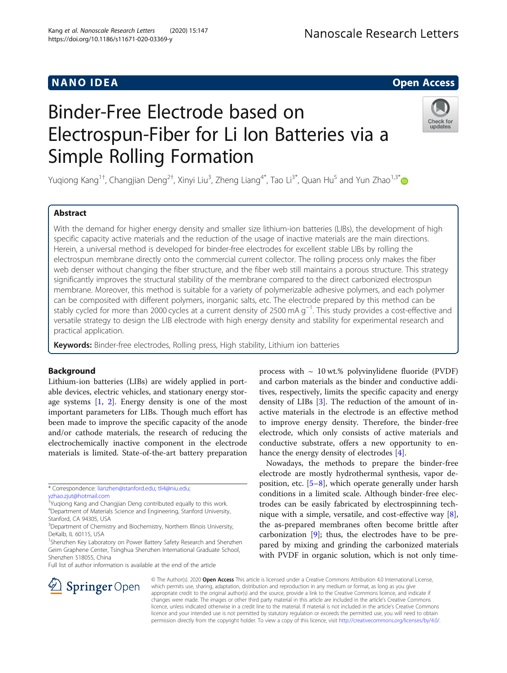## NAN O ID EA Open Access

# Binder-Free Electrode based on Electrospun-Fiber for Li Ion Batteries via a Simple Rolling Formation



Yuqiong Kang<sup>1†</sup>, Changjian Deng<sup>2†</sup>, Xinyi Liu<sup>3</sup>, Zheng Liang<sup>4\*</sup>, Tao Li<sup>3\*</sup>, Quan Hu<sup>5</sup> and Yun Zhao<sup>1,3\*</sup>

### Abstract

With the demand for higher energy density and smaller size lithium-ion batteries (LIBs), the development of high specific capacity active materials and the reduction of the usage of inactive materials are the main directions. Herein, a universal method is developed for binder-free electrodes for excellent stable LIBs by rolling the electrospun membrane directly onto the commercial current collector. The rolling process only makes the fiber web denser without changing the fiber structure, and the fiber web still maintains a porous structure. This strategy significantly improves the structural stability of the membrane compared to the direct carbonized electrospun membrane. Moreover, this method is suitable for a variety of polymerizable adhesive polymers, and each polymer can be composited with different polymers, inorganic salts, etc. The electrode prepared by this method can be stably cycled for more than 2000 cycles at a current density of 2500 mA g−<sup>1</sup> . This study provides a cost-effective and versatile strategy to design the LIB electrode with high energy density and stability for experimental research and practical application.

Keywords: Binder-free electrodes, Rolling press, High stability, Lithium ion batteries

#### Background

Lithium-ion batteries (LIBs) are widely applied in portable devices, electric vehicles, and stationary energy storage systems  $[1, 2]$  $[1, 2]$  $[1, 2]$  $[1, 2]$ . Energy density is one of the most important parameters for LIBs. Though much effort has been made to improve the specific capacity of the anode and/or cathode materials, the research of reducing the electrochemically inactive component in the electrode materials is limited. State-of-the-art battery preparation

Full list of author information is available at the end of the article

process with  $\sim 10$  wt.% polyvinylidene fluoride (PVDF) and carbon materials as the binder and conductive additives, respectively, limits the specific capacity and energy density of LIBs [[3](#page-4-0)]. The reduction of the amount of inactive materials in the electrode is an effective method to improve energy density. Therefore, the binder-free electrode, which only consists of active materials and conductive substrate, offers a new opportunity to en-hance the energy density of electrodes [\[4](#page-4-0)].

Nowadays, the methods to prepare the binder-free electrode are mostly hydrothermal synthesis, vapor deposition, etc. [[5](#page-4-0)–[8](#page-4-0)], which operate generally under harsh conditions in a limited scale. Although binder-free electrodes can be easily fabricated by electrospinning technique with a simple, versatile, and cost-effective way [\[8](#page-4-0)], the as-prepared membranes often become brittle after carbonization [\[9](#page-4-0)]; thus, the electrodes have to be prepared by mixing and grinding the carbonized materials with PVDF in organic solution, which is not only time-



© The Author(s). 2020 Open Access This article is licensed under a Creative Commons Attribution 4.0 International License, which permits use, sharing, adaptation, distribution and reproduction in any medium or format, as long as you give appropriate credit to the original author(s) and the source, provide a link to the Creative Commons licence, and indicate if changes were made. The images or other third party material in this article are included in the article's Creative Commons licence, unless indicated otherwise in a credit line to the material. If material is not included in the article's Creative Commons licence and your intended use is not permitted by statutory regulation or exceeds the permitted use, you will need to obtain permission directly from the copyright holder. To view a copy of this licence, visit <http://creativecommons.org/licenses/by/4.0/>.

<sup>\*</sup> Correspondence: [lianzhen@stanford.edu](mailto:lianzhen@stanford.edu); [tli4@niu.edu](mailto:tli4@niu.edu); [yzhao.zjut@hotmail.com](mailto:yzhao.zjut@hotmail.com)

<sup>†</sup> Yuqiong Kang and Changjian Deng contributed equally to this work. 4 Department of Materials Science and Engineering, Stanford University,

Stanford, CA 94305, USA

<sup>&</sup>lt;sup>3</sup>Department of Chemistry and Biochemistry, Northern Illinois University, DeKalb, IL 60115, USA

<sup>&</sup>lt;sup>1</sup>Shenzhen Key Laboratory on Power Battery Safety Research and Shenzhen Geim Graphene Center, Tsinghua Shenzhen International Graduate School, Shenzhen 518055, China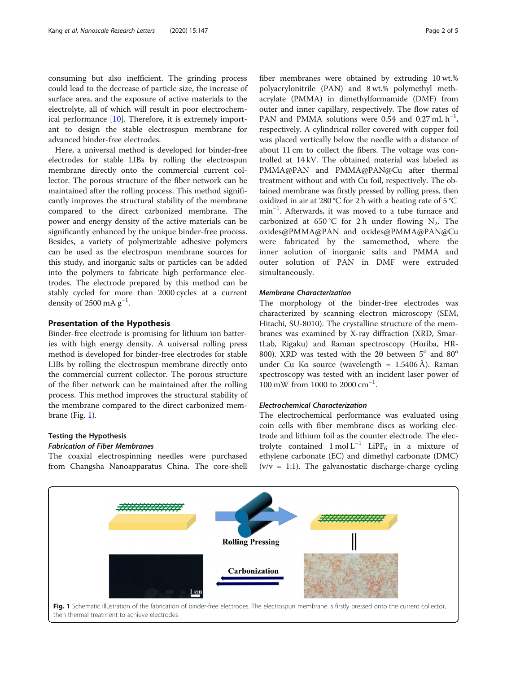consuming but also inefficient. The grinding process could lead to the decrease of particle size, the increase of surface area, and the exposure of active materials to the electrolyte, all of which will result in poor electrochemical performance [\[10](#page-4-0)]. Therefore, it is extremely important to design the stable electrospun membrane for advanced binder-free electrodes.

Here, a universal method is developed for binder-free electrodes for stable LIBs by rolling the electrospun membrane directly onto the commercial current collector. The porous structure of the fiber network can be maintained after the rolling process. This method significantly improves the structural stability of the membrane compared to the direct carbonized membrane. The power and energy density of the active materials can be significantly enhanced by the unique binder-free process. Besides, a variety of polymerizable adhesive polymers can be used as the electrospun membrane sources for this study, and inorganic salts or particles can be added into the polymers to fabricate high performance electrodes. The electrode prepared by this method can be stably cycled for more than 2000 cycles at a current density of 2500 mA  $g^{-1}$ .

#### Presentation of the Hypothesis

Binder-free electrode is promising for lithium ion batteries with high energy density. A universal rolling press method is developed for binder-free electrodes for stable LIBs by rolling the electrospun membrane directly onto the commercial current collector. The porous structure of the fiber network can be maintained after the rolling process. This method improves the structural stability of the membrane compared to the direct carbonized membrane (Fig. 1).

#### Testing the Hypothesis Fabrication of Fiber Membranes

The coaxial electrospinning needles were purchased from Changsha Nanoapparatus China. The core-shell

fiber membranes were obtained by extruding 10 wt.% polyacrylonitrile (PAN) and 8 wt.% polymethyl methacrylate (PMMA) in dimethylformamide (DMF) from outer and inner capillary, respectively. The flow rates of PAN and PMMA solutions were 0.54 and 0.27 mL  $h^{-1}$ , respectively. A cylindrical roller covered with copper foil was placed vertically below the needle with a distance of about 11 cm to collect the fibers. The voltage was controlled at 14 kV. The obtained material was labeled as PMMA@PAN and PMMA@PAN@Cu after thermal treatment without and with Cu foil, respectively. The obtained membrane was firstly pressed by rolling press, then oxidized in air at 280 °C for 2 h with a heating rate of 5 °C min<sup>-1</sup>. Afterwards, it was moved to a tube furnace and carbonized at 650 °C for 2 h under flowing  $N_2$ . The oxides@PMMA@PAN and oxides@PMMA@PAN@Cu were fabricated by the samemethod, where the inner solution of inorganic salts and PMMA and outer solution of PAN in DMF were extruded simultaneously.

#### Membrane Characterization

The morphology of the binder-free electrodes was characterized by scanning electron microscopy (SEM, Hitachi, SU-8010). The crystalline structure of the membranes was examined by X-ray diffraction (XRD, SmartLab, Rigaku) and Raman spectroscopy (Horiba, HR-800). XRD was tested with the  $2\theta$  between  $5^{\circ}$  and  $80^{\circ}$ under Cu Kα source (wavelength = 1.5406 Å). Raman spectroscopy was tested with an incident laser power of 100 mW from 1000 to 2000 cm<sup>-1</sup>.

#### Electrochemical Characterization

The electrochemical performance was evaluated using coin cells with fiber membrane discs as working electrode and lithium foil as the counter electrode. The electrolyte contained 1 mol L<sup>-1</sup> LiPF<sub>6</sub> in a mixture of ethylene carbonate (EC) and dimethyl carbonate (DMC)  $(v/v = 1:1)$ . The galvanostatic discharge-charge cycling

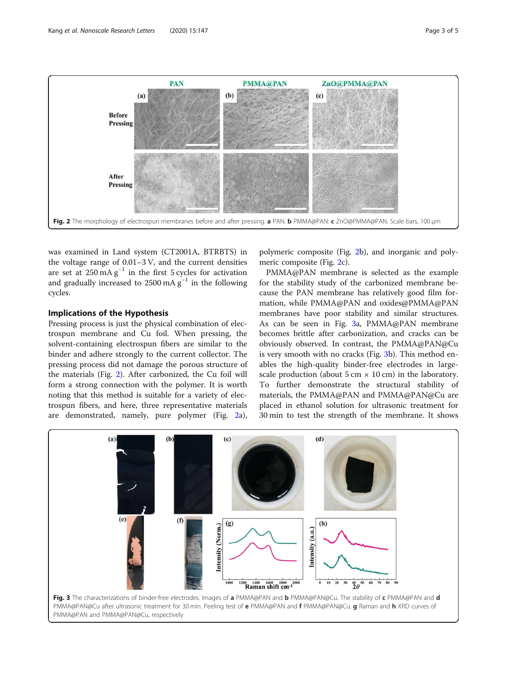<span id="page-2-0"></span>

was examined in Land system (CT2001A, BTRBTS) in the voltage range of 0.01–3 V, and the current densities are set at  $250 \text{ mA} \text{ g}^{-1}$  in the first 5 cycles for activation and gradually increased to 2500 mA  $g^{-1}$  in the following cycles.

#### Implications of the Hypothesis

Pressing process is just the physical combination of electrospun membrane and Cu foil. When pressing, the solvent-containing electrospun fibers are similar to the binder and adhere strongly to the current collector. The pressing process did not damage the porous structure of the materials (Fig. 2). After carbonized, the Cu foil will form a strong connection with the polymer. It is worth noting that this method is suitable for a variety of electrospun fibers, and here, three representative materials are demonstrated, namely, pure polymer (Fig. 2a),

polymeric composite (Fig. 2b), and inorganic and polymeric composite (Fig. 2c).

PMMA@PAN membrane is selected as the example for the stability study of the carbonized membrane because the PAN membrane has relatively good film formation, while PMMA@PAN and oxides@PMMA@PAN membranes have poor stability and similar structures. As can be seen in Fig.  $3a$ , PMMA@PAN membrane becomes brittle after carbonization, and cracks can be obviously observed. In contrast, the PMMA@PAN@Cu is very smooth with no cracks (Fig. 3b). This method enables the high-quality binder-free electrodes in largescale production (about  $5 \text{ cm} \times 10 \text{ cm}$ ) in the laboratory. To further demonstrate the structural stability of materials, the PMMA@PAN and PMMA@PAN@Cu are placed in ethanol solution for ultrasonic treatment for 30 min to test the strength of the membrane. It shows

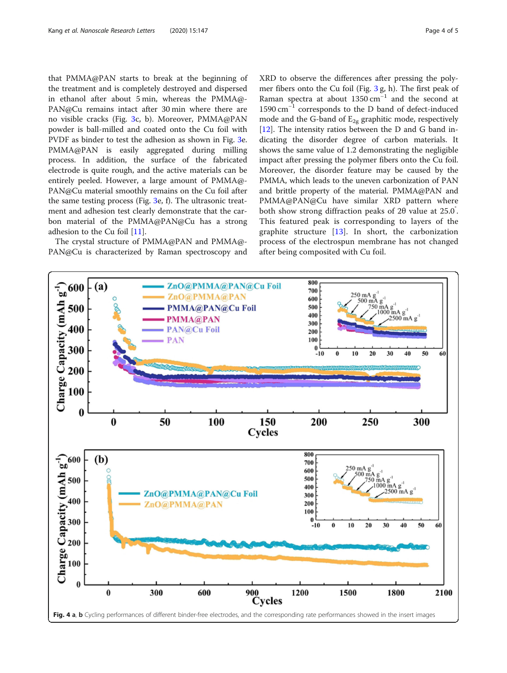<span id="page-3-0"></span>that PMMA@PAN starts to break at the beginning of the treatment and is completely destroyed and dispersed in ethanol after about 5 min, whereas the PMMA@- PAN@Cu remains intact after 30 min where there are no visible cracks (Fig. [3](#page-2-0)c, b). Moreover, PMMA@PAN powder is ball-milled and coated onto the Cu foil with PVDF as binder to test the adhesion as shown in Fig. [3e](#page-2-0). PMMA@PAN is easily aggregated during milling process. In addition, the surface of the fabricated electrode is quite rough, and the active materials can be entirely peeled. However, a large amount of PMMA@- PAN@Cu material smoothly remains on the Cu foil after the same testing process (Fig. [3](#page-2-0)e, f). The ultrasonic treatment and adhesion test clearly demonstrate that the carbon material of the PMMA@PAN@Cu has a strong adhesion to the Cu foil [[11\]](#page-4-0).

The crystal structure of PMMA@PAN and PMMA@- PAN@Cu is characterized by Raman spectroscopy and

XRD to observe the differences after pressing the polymer fibers onto the Cu foil (Fig. [3](#page-2-0) g, h). The first peak of Raman spectra at about 1350 cm−<sup>1</sup> and the second at 1590 cm−<sup>1</sup> corresponds to the D band of defect-induced mode and the G-band of  $E_{2g}$  graphitic mode, respectively [[12\]](#page-4-0). The intensity ratios between the D and G band indicating the disorder degree of carbon materials. It shows the same value of 1.2 demonstrating the negligible impact after pressing the polymer fibers onto the Cu foil. Moreover, the disorder feature may be caused by the PMMA, which leads to the uneven carbonization of PAN and brittle property of the material. PMMA@PAN and PMMA@PAN@Cu have similar XRD pattern where both show strong diffraction peaks of 2θ value at 25.0° . This featured peak is corresponding to layers of the graphite structure [\[13](#page-4-0)]. In short, the carbonization process of the electrospun membrane has not changed after being composited with Cu foil.